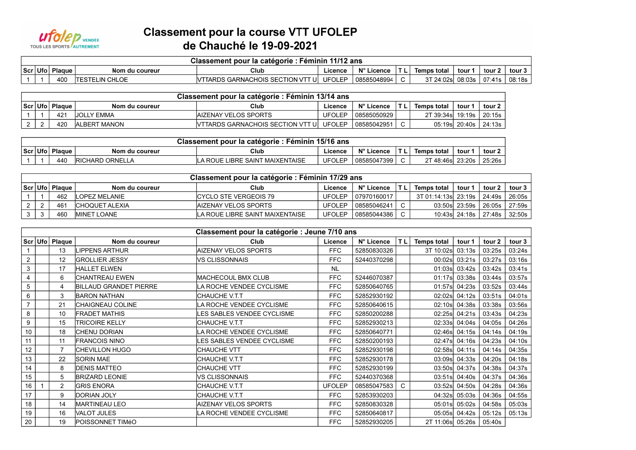

## **Classement pour la course VTT UFOLEP** de Chauché le 19-09-2021

| Classement pour la catégorie : Féminin 11/12 ans |          |                        |                                          |         |             |    |                    |        |                    |        |  |  |
|--------------------------------------------------|----------|------------------------|------------------------------------------|---------|-------------|----|--------------------|--------|--------------------|--------|--|--|
| $ Scr $ Ufo $ $                                  | ' Plaque | Nom du coureur         | Club                                     | Licence | N° Licence  | ΤL | <b>Temps total</b> | tour ' | $\pm$ tour 2 $\pm$ | tour 3 |  |  |
|                                                  | 400      | <b>ITESTELIN CHLOE</b> | VITARDS GARNACHOIS SECTION VTT UI UFOLEP |         | 08585048994 |    | 3T 24:02sl         |        | ⊤ 08:03s   07:41s  | 08:18s |  |  |

| Classement pour la catégorie : Féminin 13/14 ans |                    |                      |                                           |         |             |  |                             |               |          |  |  |  |
|--------------------------------------------------|--------------------|----------------------|-------------------------------------------|---------|-------------|--|-----------------------------|---------------|----------|--|--|--|
|                                                  | Scr   Ufo   Plaque | Nom du coureur       | Club                                      | Licence | N° Licence  |  | Temps total                 | tour          | tour 2   |  |  |  |
|                                                  | 42 <sup>4</sup>    | IJOLLY EMMA          | <b>IAIZENAY VELOS SPORTS</b>              | JFOLEP  | 08585050929 |  | 2T 39:34s   19:19s   20:15s |               |          |  |  |  |
|                                                  | 42C                | <b>IALBERT MANON</b> | <b>IVTTARDS GARNACHOIS SECTION VTT UI</b> | UFOLEP  | 08585042951 |  |                             | 05:19s 20:40s | l 24:13s |  |  |  |

| Classement<br>. : Féminin 15/16 ans<br>r la catégorie<br>. pour |               |                           |                                 |               |             |     |                        |        |        |  |  |  |
|-----------------------------------------------------------------|---------------|---------------------------|---------------------------------|---------------|-------------|-----|------------------------|--------|--------|--|--|--|
| Scr Ufo                                                         | <b>Plague</b> | Nom du coureur            | Club                            | Licence       | N° Licence  | TL. | Temps total            | tour ' | tour 2 |  |  |  |
|                                                                 | 440           | ORNELLA<br><b>RICHARD</b> | LIBRE SAINT MAIXENTAISE<br>ROUE | <b>UFOLEP</b> | 08585047399 |     | 48:46s<br>$\mathbf{r}$ | 23:20s | 25:26s |  |  |  |

| Classement pour la catégorie : Féminin 17/29 ans |                    |                     |                                 |               |                      |  |                                        |                   |        |               |  |
|--------------------------------------------------|--------------------|---------------------|---------------------------------|---------------|----------------------|--|----------------------------------------|-------------------|--------|---------------|--|
|                                                  | Scr   Ufo   Plague | Nom du coureur      | Club                            | Licence       | N° Licence           |  | <b>Temps total</b>                     | tour <sup>.</sup> | tour 2 | tour 3        |  |
|                                                  | 462                | LOPEZ MELANIE       | ICYCLO STE VERGEOIS 79          |               | UFOLEP 1079701600171 |  | 3T 01:14:13sl 23:19s   24:49s   26:05s |                   |        |               |  |
|                                                  | 461                | ICHOQUET ALEXIA     | IAIZENAY VELOS SPORTS           | UFOLEP        | 08585046241          |  |                                        | 03:50s 23:59s     |        | 26:05s 27:59s |  |
|                                                  | 460                | <b>IMINET LOANE</b> | LA ROUE LIBRE SAINT MAIXENTAISE | <b>UFOLEP</b> | 08585044386          |  |                                        | 10:43sl 24:18s    |        | 27:48s 32:50s |  |

|                | Classement pour la catégorie : Jeune 7/10 ans<br>Scr Ufo   Plaque |                 |                               |                             |               |             |     |                    |               |        |        |  |  |
|----------------|-------------------------------------------------------------------|-----------------|-------------------------------|-----------------------------|---------------|-------------|-----|--------------------|---------------|--------|--------|--|--|
|                |                                                                   |                 | Nom du coureur                | Club                        | Licence       | N° Licence  | TL. | <b>Temps total</b> | tour 1        | tour 2 | tour 3 |  |  |
|                |                                                                   | 13              | <b>LIPPENS ARTHUR</b>         | <b>AIZENAY VELOS SPORTS</b> | <b>FFC</b>    | 52850830326 |     | 3T 10:02s          | 03:13s        | 03:25s | 03:24s |  |  |
| $\overline{2}$ |                                                                   | 12              | <b>GROLLIER JESSY</b>         | VS CLISSONNAIS              | <b>FFC</b>    | 52440370298 |     | 00:02s             | 03:21s        | 03:27s | 03:16s |  |  |
| 3              |                                                                   | 17              | <b>HALLET ELWEN</b>           |                             | <b>NL</b>     |             |     | 01:03s             | 03:42s        | 03:42s | 03:41s |  |  |
| $\overline{4}$ |                                                                   | 6               | <b>CHANTREAU EWEN</b>         | <b>MACHECOUL BMX CLUB</b>   | <b>FFC</b>    | 52446070387 |     |                    | 01:17s 03:38s | 03:44s | 03:57s |  |  |
| 5              |                                                                   |                 | <b>BILLAUD GRANDET PIERRE</b> | LA ROCHE VENDEE CYCLISME    | <b>FFC</b>    | 52850640765 |     |                    | 01:57s 04:23s | 03:52s | 03:44s |  |  |
| 6              |                                                                   | 3               | <b>BARON NATHAN</b>           | <b>CHAUCHE V.T.T</b>        | <b>FFC</b>    | 52852930192 |     | 02:02s             | 04:12s        | 03:51s | 04:01s |  |  |
| $\overline{7}$ |                                                                   | 21              | <b>CHAIGNEAU COLINE</b>       | LA ROCHE VENDEE CYCLISME    | <b>FFC</b>    | 52850640615 |     | 02:10s             | 04:38s        | 03:38s | 03:56s |  |  |
| 8              |                                                                   | 10 <sup>°</sup> | <b>FRADET MATHIS</b>          | LES SABLES VENDEE CYCLISME  | <b>FFC</b>    | 52850200288 |     | 02:25s             | 04:21s        | 03:43s | 04:23s |  |  |
| 9              |                                                                   | 15              | <b>TRICOIRE KELLY</b>         | <b>CHAUCHE V.T.T</b>        | <b>FFC</b>    | 52852930213 |     |                    | 02:33s 04:04s | 04:05s | 04:26s |  |  |
| 10             |                                                                   | 18              | <b>CHENU DORIAN</b>           | LA ROCHE VENDEE CYCLISME    | <b>FFC</b>    | 52850640771 |     |                    | 02:46s 04:15s | 04:14s | 04:19s |  |  |
| 11             |                                                                   | 11              | <b>FRANCOIS NINO</b>          | LES SABLES VENDEE CYCLISME  | <b>FFC</b>    | 52850200193 |     | 02:47sl            | 04:16s        | 04:23s | 04:10s |  |  |
| 12             |                                                                   |                 | <b>CHEVILLON HUGO</b>         | <b>CHAUCHE VTT</b>          | FFC           | 52852930198 |     | 02:58s             | 04:11s        | 04:14s | 04:35s |  |  |
| 13             |                                                                   | 22              | <b>SORIN MAE</b>              | CHAUCHE V.T.T               | <b>FFC</b>    | 52852930178 |     | 03:09s             | 04:33s        | 04:20s | 04:18s |  |  |
| 14             |                                                                   | 8               | <b>DENIS MATTEO</b>           | <b>CHAUCHE VTT</b>          | <b>FFC</b>    | 52852930199 |     | 03:50s             | 04:37s        | 04:38s | 04:37s |  |  |
| 15             |                                                                   | 5               | <b>BRIZARD LEONIE</b>         | VS CLISSONNAIS              | <b>FFC</b>    | 52440370368 |     | 03:51s             | 04:40s        | 04:37s | 04:36s |  |  |
| 16             |                                                                   | $\overline{2}$  | <b>GRIS ENORA</b>             | <b>CHAUCHE V.T.T</b>        | <b>UFOLEP</b> | 08585047583 | C.  |                    | 03:52s 04:50s | 04:28s | 04:36s |  |  |
| 17             |                                                                   | 9               | <b>DORIAN JOLY</b>            | <b>CHAUCHE V.T.T</b>        | <b>FFC</b>    | 52853930203 |     | 04:32s             | 05:03s        | 04:36s | 04:55s |  |  |
| 18             |                                                                   | 14              | <b>MARTINEAU LEO</b>          | <b>AIZENAY VELOS SPORTS</b> | <b>FFC</b>    | 52850830328 |     | 05:01s             | 05:02s        | 04:58s | 05:03s |  |  |
| 19             |                                                                   | 16              | <b>VALOT JULES</b>            | LA ROCHE VENDEE CYCLISME    | <b>FFC</b>    | 52850640817 |     |                    | 05:05s 04:42s | 05:12s | 05:13s |  |  |
| 20             |                                                                   | 19              | <b>POISSONNET TIMÉO</b>       |                             | <b>FFC</b>    | 52852930205 |     | 2T 11:06s 05:26s   |               | 05:40s |        |  |  |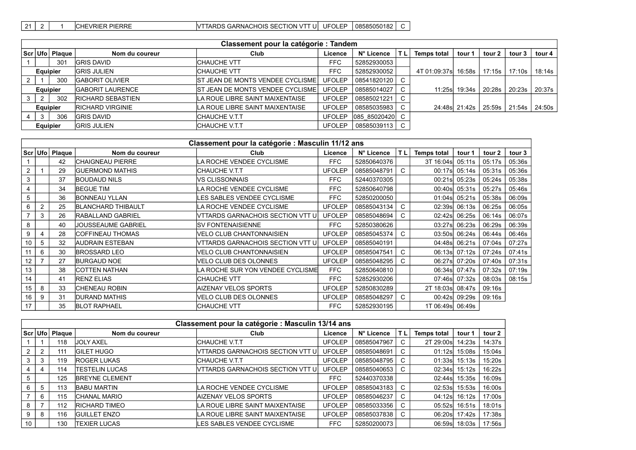[21 2 | 1 CHEVRIER PIERRE VTTARDS GARNACHOIS SECTION VTT U UFOLEP 08585050182 C

|   | Classement pour la catégorie : Tandem |                  |                           |                                            |               |                 |     |                        |                  |        |        |        |  |
|---|---------------------------------------|------------------|---------------------------|--------------------------------------------|---------------|-----------------|-----|------------------------|------------------|--------|--------|--------|--|
|   |                                       | Scr Ufo   Plaque | Nom du coureur            | Club                                       | Licence       | N° Licence      | 'TL | <b>Temps total</b>     | tour 1           | tour 2 | tour 3 | tour 4 |  |
|   |                                       | 30 <sup>1</sup>  | <b>GRIS DAVID</b>         | <b>ICHAUCHE VTT</b>                        | <b>FFC</b>    | 52852930053     |     |                        |                  |        |        |        |  |
|   | Equipier                              |                  | <b>GRIS JULIEN</b>        | <b>ICHAUCHE VTT</b>                        | <b>FFC</b>    | 52852930052     |     | 4T 01:09:37sl 16:58s I |                  | 17:15s | 17:10s | 18:14s |  |
|   |                                       | 300              | <b>GABORIT OLIVIER</b>    | <b>IST JEAN DE MONTS VENDEE CYCLISME I</b> | <b>UFOLEP</b> | 08541820120     |     |                        |                  |        |        |        |  |
|   | Equipier                              |                  | <b>IGABORIT LAURENCE</b>  | <b>IST JEAN DE MONTS VENDEE CYCLISME I</b> | <b>UFOLEP</b> | 08585014027     |     |                        | 11:25s 19:34s    | 20:28s | 20:23s | 20:37s |  |
| 3 | 2                                     | 302              | <b>IRICHARD SEBASTIEN</b> | LA ROUE LIBRE SAINT MAIXENTAISE            | <b>UFOLEP</b> | 08585021221     |     |                        |                  |        |        |        |  |
|   | Equipier                              |                  | <b>RICHARD VIRGINIE</b>   | LA ROUE LIBRE SAINT MAIXENTAISE            | <b>UFOLEP</b> | 08585035983     |     |                        | 24:48sl 21:42s l | 25:59s | 21:54s | 24:50s |  |
|   | 3                                     | 306              | <b>GRIS DAVID</b>         | ICHAUCHE V.T.T                             | <b>UFOLEP</b> | 085 85020420 C  |     |                        |                  |        |        |        |  |
|   | <b>Equipier</b>                       |                  | <b>GRIS JULIEN</b>        | <b>CHAUCHE V.T.T</b>                       | <b>UFOLEP</b> | 08585039113   C |     |                        |                  |        |        |        |  |

|                  |                |               |                           | Classement pour la catégorie : Masculin 11/12 ans |               |             |                |                    |               |        |        |
|------------------|----------------|---------------|---------------------------|---------------------------------------------------|---------------|-------------|----------------|--------------------|---------------|--------|--------|
|                  | Scr   Ufo      | <b>Plaque</b> | Nom du coureur            | Club                                              | Licence       | N° Licence  | T <sub>L</sub> | <b>Temps total</b> | tour 1        | tour 2 | tour 3 |
|                  |                | 42            | <b>CHAIGNEAU PIERRE</b>   | LA ROCHE VENDEE CYCLISME                          | FFC           | 52850640376 |                | 3T 16:04s          | 05:11s        | 05:17s | 05:36s |
| $\overline{2}$   |                | 29            | <b>GUERMOND MATHIS</b>    | <b>CHAUCHE V.T.T</b>                              | <b>UFOLEP</b> | 08585048791 | C.             |                    | 00:17s 05:14s | 05:31s | 05:36s |
| 3                |                | 37            | <b>BOUDAUD NILS</b>       | <b>VS CLISSONNAIS</b>                             | <b>FFC</b>    | 52440370305 |                |                    | 00:21s 05:23s | 05:24s | 05:38s |
| 4                |                | 34            | <b>BEGUE TIM</b>          | LA ROCHE VENDEE CYCLISME                          | <b>FFC</b>    | 52850640798 |                |                    | 00:40s 05:31s | 05:27s | 05:46s |
| 5                |                | 36            | <b>BONNEAU YLLAN</b>      | LES SABLES VENDEE CYCLISME                        | FFC           | 52850200050 |                |                    | 01:04s 05:21s | 05:38s | 06:09s |
| 6                | $\overline{2}$ | 25            | <b>BLANCHARD THIBAULT</b> | LA ROCHE VENDEE CYCLISME                          | <b>UFOLEP</b> | 08585043134 | C.             |                    | 02:39s 06:13s | 06:25s | 06:05s |
|                  | 3              | 26            | <b>RABALLAND GABRIEL</b>  | VTTARDS GARNACHOIS SECTION VTT U                  | <b>UFOLEP</b> | 08585048694 | C.             |                    | 02:42s 06:25s | 06:14s | 06:07s |
| 8                |                | 40            | JOUSSEAUME GABRIEL        | <b>SV FONTENAISIENNE</b>                          | <b>FFC</b>    | 52850380626 |                |                    | 03:27s 06:23s | 06:29s | 06:39s |
| 9                |                | 28            | <b>COFFINEAU THOMAS</b>   | <b>VELO CLUB CHANTONNAISIEN</b>                   | <b>UFOLEP</b> | 08585045374 | C.             |                    | 03:50s 06:24s | 06:44s | 06:46s |
| 10               | 5              | 32            | <b>AUDRAIN ESTEBAN</b>    | VTTARDS GARNACHOIS SECTION VTT U                  | <b>UFOLEP</b> | 08585040191 |                |                    | 04:48s 06:21s | 07:04s | 07:27s |
|                  | 6              | 30            | <b>BROSSARD LEO</b>       | <b>VELO CLUB CHANTONNAISIEN</b>                   | <b>UFOLEP</b> | 08585047541 | C.             |                    | 06:13s 07:12s | 07:24s | 07:41s |
| 12               |                | 27            | <b>BURGAUD NOE</b>        | <b>VELO CLUB DES OLONNES</b>                      | <b>UFOLEP</b> | 08585048295 | C.             |                    | 06:27s 07:20s | 07:40s | 07:31s |
| 13               |                | 38            | <b>ICOTTEN NATHAN</b>     | LA ROCHE SUR YON VENDEE CYCLISME                  | FFC           | 52850640810 |                |                    | 06:34s 07:47s | 07:32s | 07:19s |
| 14               |                | 41            | <b>RENZ ELIAS</b>         | <b>CHAUCHE VTT</b>                                | <b>FFC</b>    | 52852930206 |                |                    | 07:46s 07:32s | 08:03s | 08:15s |
| 15 <sub>15</sub> | 8              | 33            | <b>ICHENEAU ROBIN</b>     | <b>AIZENAY VELOS SPORTS</b>                       | <b>UFOLEP</b> | 52850830289 |                | 2T 18:03s 08:47s   |               | 09:16s |        |
| 16               | 9              | 31            | <b>DURAND MATHIS</b>      | VELO CLUB DES OLONNES                             | <b>UFOLEP</b> | 08585048297 | C.             |                    | 00:42s 09:29s | 09:16s |        |
| 17               |                | 35            | <b>BLOT RAPHAEL</b>       | <b>CHAUCHE VTT</b>                                | FFC           | 52852930195 |                | 1T 06:49s 06:49s   |               |        |        |

|    | Classement pour la catégorie : Masculin 13/14 ans |               |                            |                                          |               |             |                 |                    |               |        |  |  |  |  |
|----|---------------------------------------------------|---------------|----------------------------|------------------------------------------|---------------|-------------|-----------------|--------------------|---------------|--------|--|--|--|--|
|    | Scr Ufo                                           | <b>Plaque</b> | Nom du coureur             | Club                                     | Licence       | N° Licence  | TL <sub>1</sub> | <b>Temps total</b> | tour 1        | tour 2 |  |  |  |  |
|    |                                                   | 118           | <b>JOLY AXEL</b>           | <b>CHAUCHE V.T.T</b>                     | <b>UFOLEP</b> | 08585047967 | C.              | 2T 29:00s          | 14:23s        | 14:37s |  |  |  |  |
| 2  | 2                                                 | 111           | <b>GILET HUGO</b>          | <b>VITARDS GARNACHOIS SECTION VTT UI</b> | <b>UFOLEP</b> | 08585048691 |                 |                    | 01:12s 15:08s | 15:04s |  |  |  |  |
| 3  | 3                                                 | 119           | <b>ROGER LUKAS</b>         | CHAUCHE V.T.T                            | <b>UFOLEP</b> | 08585048795 | C               |                    | 01:33s 15:13s | 15:20s |  |  |  |  |
|    | 4                                                 | 114           | TESTELIN LUCAS             | <b>VITARDS GARNACHOIS SECTION VTT UI</b> | <b>UFOLEP</b> | 08585040653 |                 |                    | 02:34s 15:12s | 16:22s |  |  |  |  |
|    |                                                   | 125           | <b>BREYNE CLEMENT</b>      |                                          | <b>FFC</b>    | 52440370338 |                 |                    | 02:44s 15:35s | 16:09s |  |  |  |  |
|    | 5                                                 | 113           | <b>BABU MARTIN</b>         | LA ROCHE VENDEE CYCLISME                 | <b>UFOLEP</b> | 08585043183 | C               | 02:53s             | 15:53s        | 16:00s |  |  |  |  |
|    | 6                                                 | 115           | ICHANAL MARIO              | <b>AIZENAY VELOS SPORTS</b>              | <b>UFOLEP</b> | 08585046237 |                 |                    | 04:12s 16:12s | 17:00s |  |  |  |  |
| 8  |                                                   | 112           | <b>IRICHARD TIMEO</b>      | LA ROUE LIBRE SAINT MAIXENTAISE          | <b>UFOLEP</b> | 08585033356 | C               | 05:52s             | 16:51s        | 18:01s |  |  |  |  |
|    | 8                                                 | 116           | <b>GUILLET ENZO</b>        | LA ROUE LIBRE SAINT MAIXENTAISE          | <b>UFOLEP</b> | 08585037838 |                 |                    | 06:20s 17:42s | 17:38s |  |  |  |  |
| 10 |                                                   | 130           | <b><i>FEXIER LUCAS</i></b> | <b>ILES SABLES VENDEE CYCLISME</b>       | <b>FFC</b>    | 52850200073 |                 |                    | 06:59s 18:03s | 17:56s |  |  |  |  |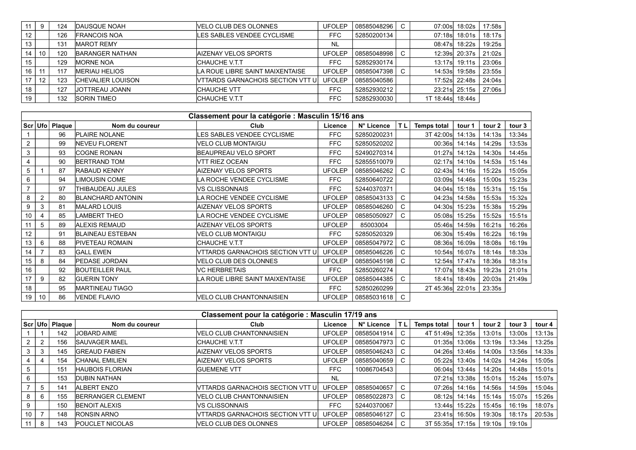|    | 9  | 124 | <b>DAUSQUE NOAH</b>      | VELO CLUB DES OLONNES             | <b>UFOLEP</b> | 08585048296   C | 07:00s           | 18:02s         | 17:58s |
|----|----|-----|--------------------------|-----------------------------------|---------------|-----------------|------------------|----------------|--------|
| 12 |    | 126 | <b>IFRANCOIS NOA</b>     | LES SABLES VENDEE CYCLISME        | FFC.          | 52850200134     | 07:18s           | 18:01s         | 18:17s |
| 13 |    | 131 | <b>MAROT REMY</b>        |                                   | <b>NL</b>     |                 |                  | 08:47s 18:22s  | 19:25s |
| 14 | 10 | 120 | <b>BARANGER NATHAN</b>   | <b>IAIZENAY VELOS SPORTS</b>      | <b>UFOLEP</b> | 08585048998 C   |                  | 12:39s 20:37s  | 21:02s |
| 15 |    | 129 | <b>MORNE NOA</b>         | <b>CHAUCHE V.T.T</b>              | FFC.          | 52852930174     |                  | 13:17s 19:11s  | 23:06s |
| 16 |    | 117 | <b>MERIAU HELIOS</b>     | LA ROUE LIBRE SAINT MAIXENTAISE   | <b>UFOLEP</b> | 08585047398 C   | 14:53s           | 19:58s         | 23:55s |
|    | 12 | 123 | <b>CHEVALIER LOUISON</b> | VTTARDS GARNACHOIS SECTION VTT UI | <b>UFOLEP</b> | 08585040586     |                  | 17:52s 22:48s  | 24:04s |
| 18 |    | 127 | <b>JOTTREAU JOANN</b>    | <b>CHAUCHE VTT</b>                | <b>FFC</b>    | 52852930212     |                  | 23:21sl 25:15s | 27:06s |
| 19 |    | 132 | <b>ISORIN TIMEO</b>      | <b>CHAUCHE V.T.T</b>              | FFC.          | 52852930030     | 1T 18:44s 18:44s |                |        |

|                | Classement pour la catégorie : Masculin 15/16 ans |                    |                          |                                   |               |             |              |                    |        |        |        |  |  |
|----------------|---------------------------------------------------|--------------------|--------------------------|-----------------------------------|---------------|-------------|--------------|--------------------|--------|--------|--------|--|--|
|                |                                                   | Scr   Ufo   Plaque | Nom du coureur           | Club                              | Licence       | N° Licence  | TL.          | <b>Temps total</b> | tour 1 | tour 2 | tour 3 |  |  |
|                |                                                   | 96                 | <b>PLAIRE NOLANE</b>     | ES SABLES VENDEE CYCLISME.        | <b>FFC</b>    | 52850200231 |              | 3T 42:00s          | 14:13s | 14:13s | 13:34s |  |  |
| $\overline{2}$ |                                                   | 99                 | <b>INEVEU FLORENT</b>    | VELO CLUB MONTAIGU                | <b>FFC</b>    | 52850520202 |              | 00:36s             | 14:14s | 14:29s | 13:53s |  |  |
| 3              |                                                   | 93                 | ICOGNE RONAN             | <b>BEAUPREAU VELO SPORT</b>       | <b>FFC</b>    | 52490270314 |              | 01:27s             | 14:12s | 14:30s | 14:45s |  |  |
|                |                                                   | 90                 | <b>BERTRAND TOM</b>      | VTT RIEZ OCEAN                    | <b>FFC</b>    | 52855510079 |              | 02:17sl            | 14:10s | 14:53s | 15:14s |  |  |
| 5              |                                                   | 87                 | <b>IRABAUD KENNY</b>     | <b>AIZENAY VELOS SPORTS</b>       | <b>UFOLEP</b> | 08585046262 | C.           | 02:43s             | 14:16s | 15:22s | 15:05s |  |  |
| 6              |                                                   | 94                 | <b>IMOUSIN COME</b>      | LA ROCHE VENDEE CYCLISME          | <b>FFC</b>    | 52850640722 |              | 03:09s             | 14:46s | 15:00s | 15:23s |  |  |
|                |                                                   | 97                 | <b>THIBAUDEAU JULES</b>  | VS CLISSONNAIS                    | <b>FFC</b>    | 52440370371 |              | 04:04s             | 15:18s | 15:31s | 15:15s |  |  |
| 8              | $\overline{2}$                                    | 80                 | <b>BLANCHARD ANTONIN</b> | LA ROCHE VENDEE CYCLISME          | <b>UFOLEP</b> | 08585043133 | C.           | 04:23s             | 14:58s | 15:53s | 15:32s |  |  |
| 9              | 3                                                 | 81                 | <b>IMALARD LOUIS</b>     | AIZENAY VELOS SPORTS              | <b>UFOLEP</b> | 08585046260 | C            | 04:30s             | 15:23s | 15:38s | 15:29s |  |  |
| 10             | $\overline{4}$                                    | 85                 | <b>LAMBERT THEO</b>      | LA ROCHE VENDEE CYCLISME          | <b>UFOLEP</b> | 08585050927 | C            | 05:08s             | 15:25s | 15:52s | 15:51s |  |  |
| 11             | 5                                                 | 89                 | <b>ALEXIS REMAUD</b>     | <b>AIZENAY VELOS SPORTS</b>       | <b>UFOLEP</b> | 85003004    |              | 05:46s             | 14:59s | 16:21s | 16:26s |  |  |
| 12             |                                                   | 91                 | <b>BLAINEAU ESTEBAN</b>  | VELO CLUB MONTAIGU                | <b>FFC</b>    | 52850520329 |              | 06:30sl            | 15:49s | 16:22s | 16:19s |  |  |
| 13             | 6                                                 | 88                 | PIVETEAU ROMAIN          | <b>CHAUCHE V.T.T</b>              | <b>UFOLEP</b> | 08585047972 | C            | 08:36sl            | 16:09s | 18:08s | 16:19s |  |  |
| 14             |                                                   | 83                 | <b>GALL EWEN</b>         | VTTARDS GARNACHOIS SECTION VTT UI | <b>UFOLEP</b> | 08585046226 | C            | 10:54s             | 16:07s | 18:14s | 18:33s |  |  |
| 15             | 8                                                 | 84                 | <b>PEDASE JORDAN</b>     | VELO CLUB DES OLONNES             | <b>UFOLEP</b> | 08585045198 | C            | 12:54s             | 17:47s | 18:36s | 18:31s |  |  |
| 16             |                                                   | 92                 | <b>BOUTEILLER PAUL</b>   | VC HERBRETAIS                     | <b>FFC</b>    | 52850260274 |              | 17:07s             | 18:43s | 19:23s | 21:01s |  |  |
| 17             | 9                                                 | 82                 | <b>GUERIN TONY</b>       | LA ROUE LIBRE SAINT MAIXENTAISE   | <b>UFOLEP</b> | 08585044385 | C.           | 18:41s             | 18:49s | 20:03s | 21:49s |  |  |
| 18             |                                                   | 95                 | <b>MARTINEAU TIAGO</b>   |                                   | <b>FFC</b>    | 52850260299 |              | 2T 45:36s          | 22:01s | 23:35s |        |  |  |
| 19             | 10                                                | 86                 | <b>VENDE FLAVIO</b>      | VELO CLUB CHANTONNAISIEN          | <b>UFOLEP</b> | 08585031618 | $\mathsf{C}$ |                    |        |        |        |  |  |

|    | Classement pour la catégorie : Masculin 17/19 ans |                |                        |                                          |               |             |    |                    |        |        |        |        |  |  |
|----|---------------------------------------------------|----------------|------------------------|------------------------------------------|---------------|-------------|----|--------------------|--------|--------|--------|--------|--|--|
|    |                                                   | Scr Ufo Plaque | Nom du coureur         | Club                                     | Licence       | N° Licence  | TL | <b>Temps total</b> | tour ' | tour 2 | tour 3 | tour 4 |  |  |
|    |                                                   | 142            | <b>JOBARD AIME</b>     | IVELO CLUB CHANTONNAISIEN                | <b>UFOLEP</b> | 08585041914 | C. | 4T 51:49s          | 12:35s | 13:01s | 13:00s | 13:13s |  |  |
|    |                                                   | 156            | <b>SAUVAGER MAEL</b>   | <b>CHAUCHE V.T.T</b>                     | <b>UFOLEP</b> | 08585047973 | С  | 01:35s             | 13:06s | 13:19s | 13:34s | 13:25s |  |  |
|    | -3                                                | 145            | <b>GREAUD FABIEN</b>   | <b>AIZENAY VELOS SPORTS</b>              | <b>UFOLEP</b> | 08585046243 | C. | 04:26sl            | 13:46s | 14:00s | 13:56s | 14:33s |  |  |
|    |                                                   | 154            | <b>CHANAL EMILIEN</b>  | <b>AIZENAY VELOS SPORTS</b>              | <b>UFOLEP</b> | 08585040659 | C  | 05:22s             | 13:40s | 14:02s | 14:24s | 15:05s |  |  |
|    |                                                   | 151            | <b>HAUBOIS FLORIAN</b> | <b>GUEMENE VTT</b>                       | <b>FFC</b>    | 10086704543 |    | 06:04s             | 13:44s | 14:20s | 14:48s | 15:01s |  |  |
|    |                                                   | 153            | <b>IDUBIN NATHAN</b>   |                                          | <b>NL</b>     |             |    | 07:21s             | 13:38s | 15:01s | 15:24s | 15:07s |  |  |
|    | 5                                                 | 141            | <b>ALBERT ENZO</b>     | <b>IVTTARDS GARNACHOIS SECTION VTT U</b> | <b>UFOLEP</b> | 08585040657 | C  | 07:26s             | 14:16s | 14:56s | 14:59s | 15:04s |  |  |
|    | 6                                                 | 155            | BERRANGER CLEMENT      | IVELO CLUB CHANTONNAISIEN                | <b>UFOLEP</b> | 08585022873 | C  | 08:12sl            | 14:14s | 15:14s | 15:07s | 15:26s |  |  |
|    |                                                   | 150            | <b>BENOIT ALEXIS</b>   | <b>VS CLISSONNAIS</b>                    | <b>FFC</b>    | 52440370067 |    | 13:44s             | 15:22s | 15:45s | 16:19s | 18:07s |  |  |
| 10 |                                                   | 148            | <b>RONSIN ARNO</b>     | <b>IVTTARDS GARNACHOIS SECTION VTT U</b> | <b>UFOLEP</b> | 08585046127 | U  | 23:41sl            | 16:50s | 19:30s | 18:17s | 20:53s |  |  |
|    | 8                                                 | 143            | <b>POUCLET NICOLAS</b> | VELO CLUB DES OLONNES                    | <b>UFOLEP</b> | 08585046264 | C. | 3T 55:35s          | 17:15s | 19:10s | 19:10s |        |  |  |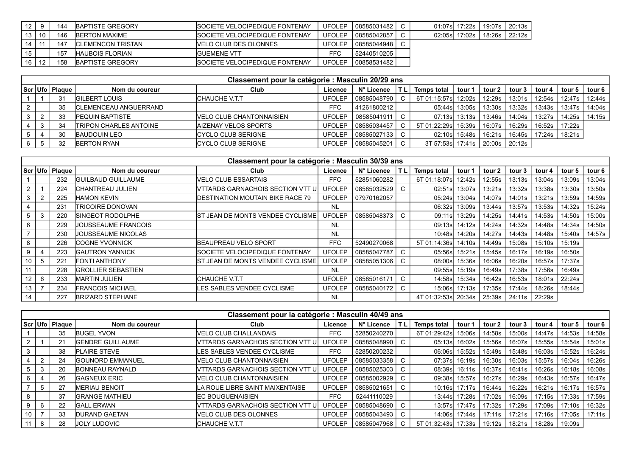|      |    | 144 | <b>IBAPTISTE GREGORY</b>  | <b>ISOCIETE VELOCIPEDIQUE FONTENAY</b> | <b>UFOLEP</b> | 08585031482 |  | 01:07sl 17:22s | 19:07s I 20:13s I |
|------|----|-----|---------------------------|----------------------------------------|---------------|-------------|--|----------------|-------------------|
| 13 I | 10 | 146 | <b>IBERTON MAXIME</b>     | <b>ISOCIETE VELOCIPEDIQUE FONTENAY</b> | UFOLEP        | 08585042857 |  | 02:05s 17:02s  | 18:26s I 22:12s I |
|      |    | 147 | <b>ICLEMENCON TRISTAN</b> | VELO CLUB DES OLONNES                  | UFOLEP        | 08585044948 |  |                |                   |
| 15   |    | 157 | <b>HAUBOIS FLORIAN</b>    | <b>IGUEMENE VTT</b>                    | FFC           | 52440510205 |  |                |                   |
| 16   | 12 | 158 | BAPTISTE GREGORY          | <b>ISOCIETE VELOCIPEDIQUE FONTENAY</b> | <b>UFOLEP</b> | 00858531482 |  |                |                   |

| Classement pour la catégorie : Masculin 20/29 ans |                  |                                |                                  |               |               |  |                    |                |        |                 |        |        |          |
|---------------------------------------------------|------------------|--------------------------------|----------------------------------|---------------|---------------|--|--------------------|----------------|--------|-----------------|--------|--------|----------|
|                                                   | Scr Ufo   Plaque | Nom du coureur                 | Club                             | Licence       | N° Licence    |  | <b>Temps total</b> | tour 1         | tour 2 | tour 3          | tour 4 | tour 5 | tour 6 l |
|                                                   | 31               | <b>IGILBERT LOUIS</b>          | CHAUCHE V.T.T                    | <b>UFOLEP</b> | 08585048790   |  | 6T 01:15:57sl      | 12:02s         | 12:29s | 13:01s          | 12:54s | 12:47s | 12:44s   |
|                                                   | 35               | <b>ICLEMENCEAU ANGUERRAND</b>  |                                  | <b>FFC</b>    | 41261800212   |  |                    | 05:44s  13:05s | 13:30s | 13:32s          | 13:43s | 13:47s | 14:04s   |
|                                                   | 33               | <b>PEQUIN BAPTISTE</b>         | <b>IVELO CLUB CHANTONNAISIEN</b> | <b>UFOLEP</b> | 08585041911   |  |                    |                | 13:46s | 14:04s          | 13:27s | 14:25s | 14:15s   |
|                                                   | 34               | <b>ITRIPON CHARLES ANTOINE</b> | AIZENAY VELOS SPORTS             | UFOLEP        | 08585034457   |  |                    |                | 16:07s | 16:29s          | 16:52s | 17:22s |          |
|                                                   | 30               | <b>BAUDOUIN LEO</b>            | ICYCLO CLUB SERIGNE              | <b>UFOLEP</b> | 08585027133 C |  |                    | 02:10sl 15:48s | 16:21s | 16:45s I        | 17:24s | 18:21s |          |
|                                                   | 32               | <b>BERTON RYAN</b>             | ICYCLO CLUB SERIGNE              | <b>UFOLEP</b> | 08585045201   |  | 3T 57:53s 17:41s   |                |        | 20:00s   20:12s |        |        |          |

|                | Classement pour la catégorie : Masculin 30/39 ans |                  |                            |                                          |               |             |              |                     |               |        |        |        |        |        |
|----------------|---------------------------------------------------|------------------|----------------------------|------------------------------------------|---------------|-------------|--------------|---------------------|---------------|--------|--------|--------|--------|--------|
|                |                                                   | Scr Ufo   Plaque | Nom du coureur             | <b>Club</b>                              | Licence       | N° Licence  |              | <b>Temps total</b>  | tour 1        | tour 2 | tour 3 | tour 4 | tour 5 | tour 6 |
|                |                                                   | 232              | <b>GUILBAUD GUILLAUME</b>  | <b>VELO CLUB ESSARTAIS</b>               | FFC           | 52851060282 |              | 6T 01:18:07s        | 12:42s        | 12:55s | 13:13s | 13:04s | 13:09s | 13:04s |
| $\overline{2}$ |                                                   | 224              | <b>ICHANTREAU JULIEN</b>   | VTTARDS GARNACHOIS SECTION VTT U         | <b>UFOLEP</b> | 08585032529 | $\mathsf{C}$ |                     | 02:51s 13:07s | 13:21s | 13:32s | 13:38s | 13:30s | 13:50s |
| 3              |                                                   | 225              | <b>HAMON KEVIN</b>         | <b>DESTINATION MOUTAIN BIKE RACE 79</b>  | <b>UFOLEP</b> | 07970162057 |              | 05:24s              | 13:04s        | 14:07s | 14:01s | 13:21s | 13:59s | 14:59s |
|                |                                                   | 231              | <b>TRICOIRE DONOVAN</b>    |                                          | <b>NL</b>     |             |              | 06:32sl             | 13:09s        | 13:44s | 13:57s | 13:53s | 14:32s | 15:24s |
| 5              | 3                                                 | 220              | <b>ISINGEOT RODOLPHE</b>   | <b>ST JEAN DE MONTS VENDEE CYCLISME</b>  | <b>UFOLEP</b> | 08585048373 | C.           | 09:11s              | 13:29s        | 14:25s | 14:41s | 14:53s | 14:50s | 15:00s |
| 6              |                                                   | 229              | <b>JOUSSEAUME FRANCOIS</b> |                                          | <b>NL</b>     |             |              | 09:13sl             | 14:12s        | 14:24s | 14:32s | 14:48s | 14:34s | 14:50s |
|                |                                                   | 230              | JOUSSEAUME NICOLAS         |                                          | <b>NL</b>     |             |              | 10:48s              | 14:20s        | 14:27s | 14:43s | 14:48s | 15:40s | 14:57s |
| 8              |                                                   | 226              | ICOGNE YVONNICK            | <b>IBEAUPREAU VELO SPORT</b>             | FFC           | 52490270068 |              | 5T 01:14:36s        | 14:10s        | 14:49s | 15:08s | 15:10s | 15:19s |        |
| 9              |                                                   | 223              | <b>GAUTRON YANNICK</b>     | SOCIETE VELOCIPEDIQUE FONTENAY           | <b>UFOLEP</b> | 08585047787 | $\mathsf{C}$ | 05:56sl             | 15:21s        | 15:45s | 16:17s | 16:19s | 16:50s |        |
| 10             |                                                   | 221              | <b>FONTI ANTHONY</b>       | <b>IST JEAN DE MONTS VENDEE CYCLISME</b> | <b>UFOLEP</b> | 08585051306 |              | 08:00s              | 15:36s        | 16:06s | 16:20s | 16:57s | 17:37s |        |
| 11             |                                                   | 228              | <b>GROLLIER SEBASTIEN</b>  |                                          | <b>NL</b>     |             |              | 09:55sl             | 15:19s        | 16:49s | 17:38s | 17:56s | 16:49s |        |
| 12             | 6                                                 | 233              | <b>MARTIN JULIEN</b>       | <b>CHAUCHE V.T.T</b>                     | <b>UFOLEP</b> | 08585016171 | C.           | 14:58s              | 15:34s        | 16:42s | 16:53s | 18:01s | 22:24s |        |
| 13             |                                                   | 234              | <b>FRANCOIS MICHAEL</b>    | LES SABLES VENDEE CYCLISME               | <b>UFOLEP</b> | 08585040172 |              | 15:06s              | 17:13s        | 17:35s | 17:44s | 18:26s | 18:44s |        |
| 14             |                                                   | 227              | <b>BRIZARD STEPHANE</b>    |                                          | <b>NL</b>     |             |              | 4T 01:32:53s 20:34s |               | 25:39s | 24:11s | 22:29s |        |        |

|    |   |                  |                          | Classement pour la catégorie : Masculin 40/49 ans |               |             |   |                    |               |        |        |        |        |        |
|----|---|------------------|--------------------------|---------------------------------------------------|---------------|-------------|---|--------------------|---------------|--------|--------|--------|--------|--------|
|    |   | Scr Ufo   Plaque | Nom du coureur           | Club                                              | Licence       | N° Licence  |   | <b>Temps total</b> | tour 1        | tour 2 | tour 3 | tour 4 | tour 5 | tour 6 |
|    |   | 35               | <b>BUGEL YVON</b>        | <b>VELO CLUB CHALLANDAIS</b>                      | FFC           | 52850240270 |   | 6T 01:29:42s       | 15:06s        | 14:58s | 15:00s | 14:47s | 14:53s | 14:58s |
|    |   | 21               | <b>IGENDRE GUILLAUME</b> | VITARDS GARNACHOIS SECTION VTT U                  | <b>UFOLEP</b> | 08585048990 | C | 05:13sl            | 16:02s        | 15:56s | 16:07s | 15:55s | 15:54s | 15:01s |
| 3  |   | 38               | <b>IPLAIRE STEVE</b>     | LES SABLES VENDEE CYCLISME                        | FFC           | 52850200232 |   |                    | 06:06s 15:52s | 15:49s | 15:48s | 16:03s | 15:52s | 16:24s |
|    | ົ | 24               | <b>IGOUNORD EMMANUEL</b> | <b>VELO CLUB CHANTONNAISIEN</b>                   | <b>UFOLEP</b> | 08585033358 |   |                    | 07:37s 16:19s | 16:30s | 16:03s | 15:57s | 16:04s | 16:26s |
|    |   | 20               | <b>BONNEAU RAYNALD</b>   | VTTARDS GARNACHOIS SECTION VTT U                  | <b>UFOLEP</b> | 08585025303 | C | 08:39s             | 16:11s        | 16:37s | 16:41s | 16:26s | 16:18s | 16:08s |
| 6  |   | 26               | <b>IGAGNEUX ERIC</b>     | <b>VELO CLUB CHANTONNAISIEN</b>                   | <b>UFOLEP</b> | 08585002929 | C |                    | 09:38s 15:57s | 16:27s | 16:29s | 16:43s | 16:57s | 16:47s |
|    | 5 | 27               | <b>MERIAU BENOIT</b>     | LA ROUE LIBRE SAINT MAIXENTAISE                   | <b>UFOLEP</b> | 08585021651 | C |                    | 10:16s 17:17s | 16:44s | 16:22s | 16:21s | 16:17s | 16:57s |
| 8  |   | 37               | <b>GRANGE MATHIEU</b>    | <b>IEC BOUGUENAISIEN</b>                          | FFC           | 52441110029 |   |                    | 13:44s 17:28s | 17:02s | 16:09s | 17:15s | 17:33s | 17:59s |
| 9  | 6 | 22               | <b>GALL ERWAN</b>        | VTTARDS GARNACHOIS SECTION VTT UI                 | <b>UFOLEP</b> | 08585048690 |   |                    | 13:57s 17:47s | 17:32s | 17:29s | 17:09s | 17:10s | 16:32s |
| 10 |   | 33               | <b>DURAND GAETAN</b>     | <b>VELO CLUB DES OLONNES</b>                      | <b>UFOLEP</b> | 08585043493 | C |                    | 14:06s 17:44s | 17:11s | 17:21s | 17:16s | 17:05s | 17:11s |
|    | 8 | 28               | JOLY LUDOVIC             | <b>CHAUCHE V.T.T</b>                              | <b>UFOLEP</b> | 08585047968 |   | 5T 01:32:43s       | 17:33s        | 19:12s | 18:21s | 18:28s | 19:09s |        |